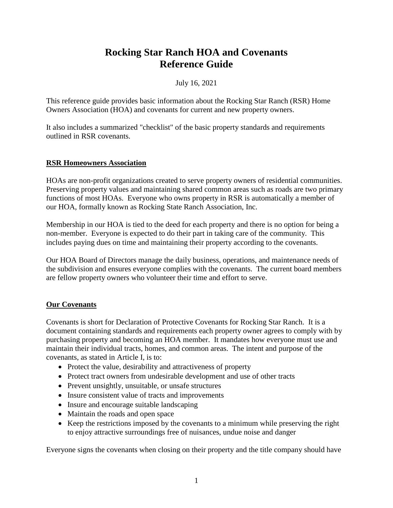# **Rocking Star Ranch HOA and Covenants Reference Guide**

# July 16, 2021

This reference guide provides basic information about the Rocking Star Ranch (RSR) Home Owners Association (HOA) and covenants for current and new property owners.

It also includes a summarized "checklist" of the basic property standards and requirements outlined in RSR covenants.

# **RSR Homeowners Association**

HOAs are non-profit organizations created to serve property owners of residential communities. Preserving property values and maintaining shared common areas such as roads are two primary functions of most HOAs. Everyone who owns property in RSR is automatically a member of our HOA, formally known as Rocking State Ranch Association, Inc.

Membership in our HOA is tied to the deed for each property and there is no option for being a non-member. Everyone is expected to do their part in taking care of the community. This includes paying dues on time and maintaining their property according to the covenants.

Our HOA Board of Directors manage the daily business, operations, and maintenance needs of the subdivision and ensures everyone complies with the covenants. The current board members are fellow property owners who volunteer their time and effort to serve.

# **Our Covenants**

Covenants is short for Declaration of Protective Covenants for Rocking Star Ranch. It is a document containing standards and requirements each property owner agrees to comply with by purchasing property and becoming an HOA member. It mandates how everyone must use and maintain their individual tracts, homes, and common areas. The intent and purpose of the covenants, as stated in Article I, is to:

- Protect the value, desirability and attractiveness of property
- Protect tract owners from undesirable development and use of other tracts
- Prevent unsightly, unsuitable, or unsafe structures
- Insure consistent value of tracts and improvements
- Insure and encourage suitable landscaping
- Maintain the roads and open space
- Keep the restrictions imposed by the covenants to a minimum while preserving the right to enjoy attractive surroundings free of nuisances, undue noise and danger

Everyone signs the covenants when closing on their property and the title company should have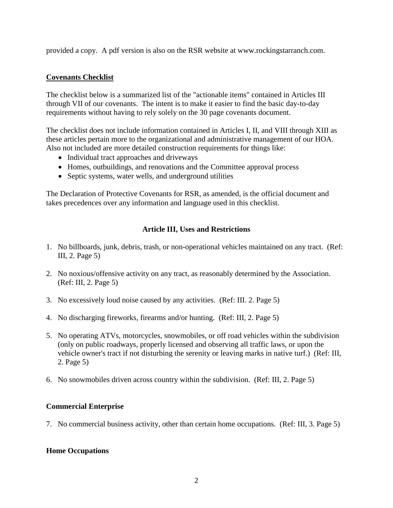provided a copy. A pdf version is also on the RSR website at www.rockingstarranch.com.

# **Covenants Checklist**

The checklist below is a summarized list of the "actionable items" contained in Articles III through VII of our covenants. The intent is to make it easier to find the basic day-to-day requirements without having to rely solely on the 30 page covenants document.

The checklist does not include information contained in Articles I, II, and VIII through XIII as these articles pertain more to the organizational and administrative management of our HOA. Also not included are more detailed construction requirements for things like:

- Individual tract approaches and driveways
- Homes, outbuildings, and renovations and the Committee approval process
- Septic systems, water wells, and underground utilities

The Declaration of Protective Covenants for RSR, as amended, is the official document and takes precedences over any information and language used in this checklist.

# **Article III, Uses and Restrictions**

- 1. No billboards, junk, debris, trash, or non-operational vehicles maintained on any tract. (Ref: III, 2. Page 5)
- 2. No noxious/offensive activity on any tract, as reasonably determined by the Association. (Ref: III, 2. Page 5)
- 3. No excessively loud noise caused by any activities. (Ref: III. 2. Page 5)
- 4. No discharging fireworks, firearms and/or hunting. (Ref: III, 2. Page 5)
- 5. No operating ATVs, motorcycles, snowmobiles, or off road vehicles within the subdivision (only on public roadways, properly licensed and observing all traffic laws, or upon the vehicle owner's tract if not disturbing the serenity or leaving marks in native turf.) (Ref: III, 2. Page 5)
- 6. No snowmobiles driven across country within the subdivision. (Ref: III, 2. Page 5)

# **Commercial Enterprise**

7. No commercial business activity, other than certain home occupations. (Ref: III, 3. Page 5)

# **Home Occupations**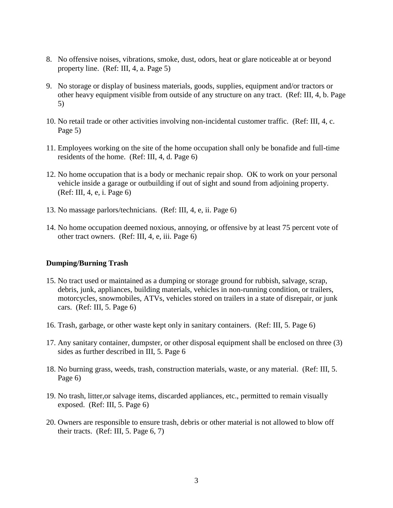- 8. No offensive noises, vibrations, smoke, dust, odors, heat or glare noticeable at or beyond property line. (Ref: III, 4, a. Page 5)
- 9. No storage or display of business materials, goods, supplies, equipment and/or tractors or other heavy equipment visible from outside of any structure on any tract. (Ref: III, 4, b. Page 5)
- 10. No retail trade or other activities involving non-incidental customer traffic. (Ref: III, 4, c. Page 5)
- 11. Employees working on the site of the home occupation shall only be bonafide and full-time residents of the home. (Ref: III, 4, d. Page 6)
- 12. No home occupation that is a body or mechanic repair shop. OK to work on your personal vehicle inside a garage or outbuilding if out of sight and sound from adjoining property. (Ref: III, 4, e, i. Page 6)
- 13. No massage parlors/technicians. (Ref: III, 4, e, ii. Page 6)
- 14. No home occupation deemed noxious, annoying, or offensive by at least 75 percent vote of other tract owners. (Ref: III, 4, e, iii. Page 6)

## **Dumping/Burning Trash**

- 15. No tract used or maintained as a dumping or storage ground for rubbish, salvage, scrap, debris, junk, appliances, building materials, vehicles in non-running condition, or trailers, motorcycles, snowmobiles, ATVs, vehicles stored on trailers in a state of disrepair, or junk cars. (Ref: III, 5. Page 6)
- 16. Trash, garbage, or other waste kept only in sanitary containers. (Ref: III, 5. Page 6)
- 17. Any sanitary container, dumpster, or other disposal equipment shall be enclosed on three (3) sides as further described in III, 5. Page 6
- 18. No burning grass, weeds, trash, construction materials, waste, or any material. (Ref: III, 5. Page 6)
- 19. No trash, litter,or salvage items, discarded appliances, etc., permitted to remain visually exposed. (Ref: III, 5. Page 6)
- 20. Owners are responsible to ensure trash, debris or other material is not allowed to blow off their tracts. (Ref: III, 5. Page 6, 7)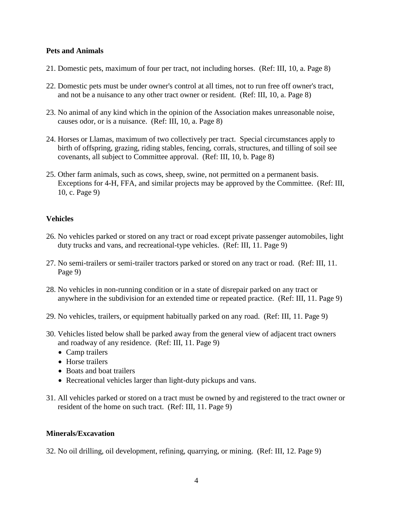## **Pets and Animals**

- 21. Domestic pets, maximum of four per tract, not including horses. (Ref: III, 10, a. Page 8)
- 22. Domestic pets must be under owner's control at all times, not to run free off owner's tract, and not be a nuisance to any other tract owner or resident. (Ref: III, 10, a. Page 8)
- 23. No animal of any kind which in the opinion of the Association makes unreasonable noise, causes odor, or is a nuisance. (Ref: III, 10, a. Page 8)
- 24. Horses or Llamas, maximum of two collectively per tract. Special circumstances apply to birth of offspring, grazing, riding stables, fencing, corrals, structures, and tilling of soil see covenants, all subject to Committee approval. (Ref: III, 10, b. Page 8)
- 25. Other farm animals, such as cows, sheep, swine, not permitted on a permanent basis. Exceptions for 4-H, FFA, and similar projects may be approved by the Committee. (Ref: III, 10, c. Page 9)

## **Vehicles**

- 26. No vehicles parked or stored on any tract or road except private passenger automobiles, light duty trucks and vans, and recreational-type vehicles. (Ref: III, 11. Page 9)
- 27. No semi-trailers or semi-trailer tractors parked or stored on any tract or road. (Ref: III, 11. Page 9)
- 28. No vehicles in non-running condition or in a state of disrepair parked on any tract or anywhere in the subdivision for an extended time or repeated practice. (Ref: III, 11. Page 9)
- 29. No vehicles, trailers, or equipment habitually parked on any road. (Ref: III, 11. Page 9)
- 30. Vehicles listed below shall be parked away from the general view of adjacent tract owners and roadway of any residence. (Ref: III, 11. Page 9)
	- Camp trailers
	- Horse trailers
	- Boats and boat trailers
	- Recreational vehicles larger than light-duty pickups and vans.
- 31. All vehicles parked or stored on a tract must be owned by and registered to the tract owner or resident of the home on such tract. (Ref: III, 11. Page 9)

## **Minerals/Excavation**

32. No oil drilling, oil development, refining, quarrying, or mining. (Ref: III, 12. Page 9)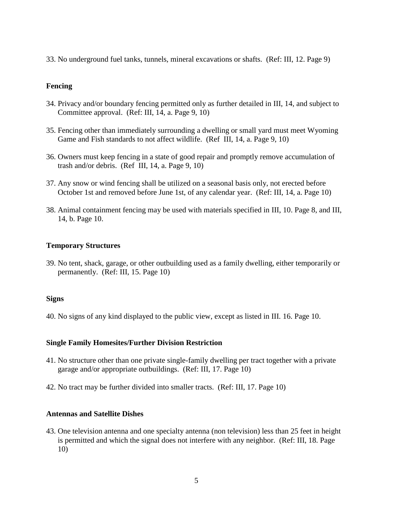33. No underground fuel tanks, tunnels, mineral excavations or shafts. (Ref: III, 12. Page 9)

## **Fencing**

- 34. Privacy and/or boundary fencing permitted only as further detailed in III, 14, and subject to Committee approval. (Ref: III, 14, a. Page 9, 10)
- 35. Fencing other than immediately surrounding a dwelling or small yard must meet Wyoming Game and Fish standards to not affect wildlife. (Ref III, 14, a. Page 9, 10)
- 36. Owners must keep fencing in a state of good repair and promptly remove accumulation of trash and/or debris. (Ref III, 14, a. Page 9, 10)
- 37. Any snow or wind fencing shall be utilized on a seasonal basis only, not erected before October 1st and removed before June 1st, of any calendar year. (Ref: III, 14, a. Page 10)
- 38. Animal containment fencing may be used with materials specified in III, 10. Page 8, and III, 14, b. Page 10.

## **Temporary Structures**

39. No tent, shack, garage, or other outbuilding used as a family dwelling, either temporarily or permanently. (Ref: III, 15. Page 10)

## **Signs**

40. No signs of any kind displayed to the public view, except as listed in III. 16. Page 10.

## **Single Family Homesites/Further Division Restriction**

- 41. No structure other than one private single-family dwelling per tract together with a private garage and/or appropriate outbuildings. (Ref: III, 17. Page 10)
- 42. No tract may be further divided into smaller tracts. (Ref: III, 17. Page 10)

## **Antennas and Satellite Dishes**

43. One television antenna and one specialty antenna (non television) less than 25 feet in height is permitted and which the signal does not interfere with any neighbor. (Ref: III, 18. Page 10)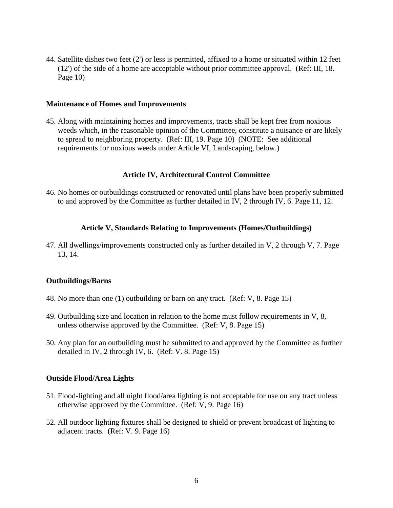44. Satellite dishes two feet (2') or less is permitted, affixed to a home or situated within 12 feet (12') of the side of a home are acceptable without prior committee approval. (Ref: III, 18. Page 10)

#### **Maintenance of Homes and Improvements**

45. Along with maintaining homes and improvements, tracts shall be kept free from noxious weeds which, in the reasonable opinion of the Committee, constitute a nuisance or are likely to spread to neighboring property. (Ref: III, 19. Page 10) (NOTE: See additional requirements for noxious weeds under Article VI, Landscaping, below.)

## **Article IV, Architectural Control Committee**

46. No homes or outbuildings constructed or renovated until plans have been properly submitted to and approved by the Committee as further detailed in IV, 2 through IV, 6. Page 11, 12.

#### **Article V, Standards Relating to Improvements (Homes/Outbuildings)**

47. All dwellings/improvements constructed only as further detailed in V, 2 through V, 7. Page 13, 14.

#### **Outbuildings/Barns**

- 48. No more than one (1) outbuilding or barn on any tract. (Ref: V, 8. Page 15)
- 49. Outbuilding size and location in relation to the home must follow requirements in V, 8, unless otherwise approved by the Committee. (Ref: V, 8. Page 15)
- 50. Any plan for an outbuilding must be submitted to and approved by the Committee as further detailed in IV, 2 through IV, 6. (Ref: V. 8. Page 15)

#### **Outside Flood/Area Lights**

- 51. Flood-lighting and all night flood/area lighting is not acceptable for use on any tract unless otherwise approved by the Committee. (Ref: V, 9. Page 16)
- 52. All outdoor lighting fixtures shall be designed to shield or prevent broadcast of lighting to adjacent tracts. (Ref: V. 9. Page 16)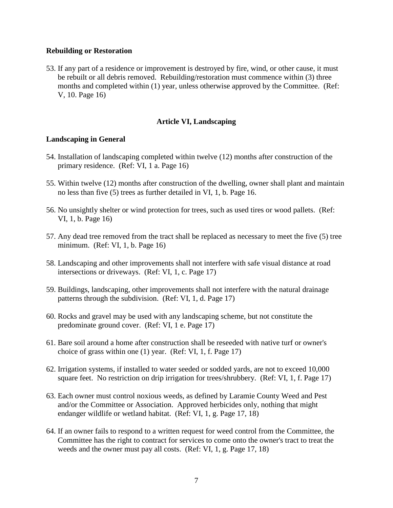#### **Rebuilding or Restoration**

53. If any part of a residence or improvement is destroyed by fire, wind, or other cause, it must be rebuilt or all debris removed. Rebuilding/restoration must commence within (3) three months and completed within (1) year, unless otherwise approved by the Committee. (Ref: V, 10. Page 16)

#### **Article VI, Landscaping**

#### **Landscaping in General**

- 54. Installation of landscaping completed within twelve (12) months after construction of the primary residence. (Ref: VI, 1 a. Page 16)
- 55. Within twelve (12) months after construction of the dwelling, owner shall plant and maintain no less than five (5) trees as further detailed in VI, 1, b. Page 16.
- 56. No unsightly shelter or wind protection for trees, such as used tires or wood pallets. (Ref: VI, 1, b. Page 16)
- 57. Any dead tree removed from the tract shall be replaced as necessary to meet the five (5) tree minimum. (Ref: VI, 1, b. Page 16)
- 58. Landscaping and other improvements shall not interfere with safe visual distance at road intersections or driveways. (Ref: VI, 1, c. Page 17)
- 59. Buildings, landscaping, other improvements shall not interfere with the natural drainage patterns through the subdivision. (Ref: VI, 1, d. Page 17)
- 60. Rocks and gravel may be used with any landscaping scheme, but not constitute the predominate ground cover. (Ref: VI, 1 e. Page 17)
- 61. Bare soil around a home after construction shall be reseeded with native turf or owner's choice of grass within one (1) year. (Ref: VI, 1, f. Page 17)
- 62. Irrigation systems, if installed to water seeded or sodded yards, are not to exceed 10,000 square feet. No restriction on drip irrigation for trees/shrubbery. (Ref: VI, 1, f. Page 17)
- 63. Each owner must control noxious weeds, as defined by Laramie County Weed and Pest and/or the Committee or Association. Approved herbicides only, nothing that might endanger wildlife or wetland habitat. (Ref: VI, 1, g. Page 17, 18)
- 64. If an owner fails to respond to a written request for weed control from the Committee, the Committee has the right to contract for services to come onto the owner's tract to treat the weeds and the owner must pay all costs. (Ref: VI, 1, g. Page 17, 18)